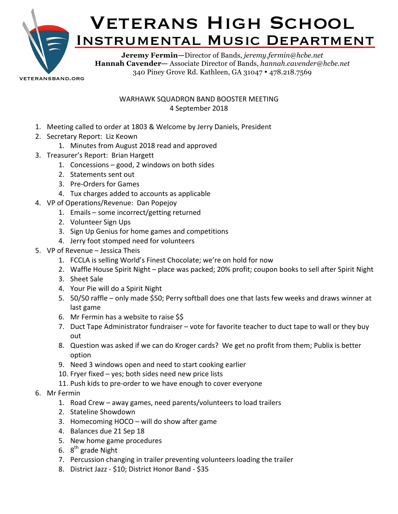

veteransband.org

## WARHAWK SQUADRON BAND BOOSTER MEETING 4 September 2018

- 1. Meeting called to order at 1803 & Welcome by Jerry Daniels, President
- 2. Secretary Report: Liz Keown
	- 1. Minutes from August 2018 read and approved
- 3. Treasurer's Report: Brian Hargett
	- 1. Concessions  $-$  good, 2 windows on both sides
	- 2. Statements sent out
	- 3. Pre-Orders for Games
	- 4. Tux charges added to accounts as applicable
- 4. VP of Operations/Revenue: Dan Popejoy
	- 1. Emails  $-$  some incorrect/getting returned
	- 2. Volunteer Sign Ups
	- 3. Sign Up Genius for home games and competitions
	- 4. Jerry foot stomped need for volunteers
- 5. VP of Revenue Jessica Theis
	- 1. FCCLA is selling World's Finest Chocolate; we're on hold for now
	- 2. Waffle House Spirit Night place was packed; 20% profit; coupon books to sell after Spirit Night
	- 3. Sheet Sale
	- 4. Your Pie will do a Spirit Night
	- 5. 50/50 raffle only made \$50; Perry softball does one that lasts few weeks and draws winner at last game
	- 6. Mr Fermin has a website to raise \$\$
	- 7. Duct Tape Administrator fundraiser vote for favorite teacher to duct tape to wall or they buy out
	- 8. Question was asked if we can do Kroger cards? We get no profit from them; Publix is better option
	- 9. Need 3 windows open and need to start cooking earlier
	- 10. Fryer fixed  $-$  yes; both sides need new price lists
	- 11. Push kids to pre-order to we have enough to cover everyone
- 6. Mr Fermin
	- 1. Road Crew away games, need parents/volunteers to load trailers
	- 2. Stateline Showdown
	- 3. Homecoming  $HOCO -$  will do show after game
	- 4. Balances due 21 Sep 18
	- 5. New home game procedures
	- 6.  $8^{th}$  grade Night
	- 7. Percussion changing in trailer preventing volunteers loading the trailer
	- 8. District Jazz \$10; District Honor Band \$35